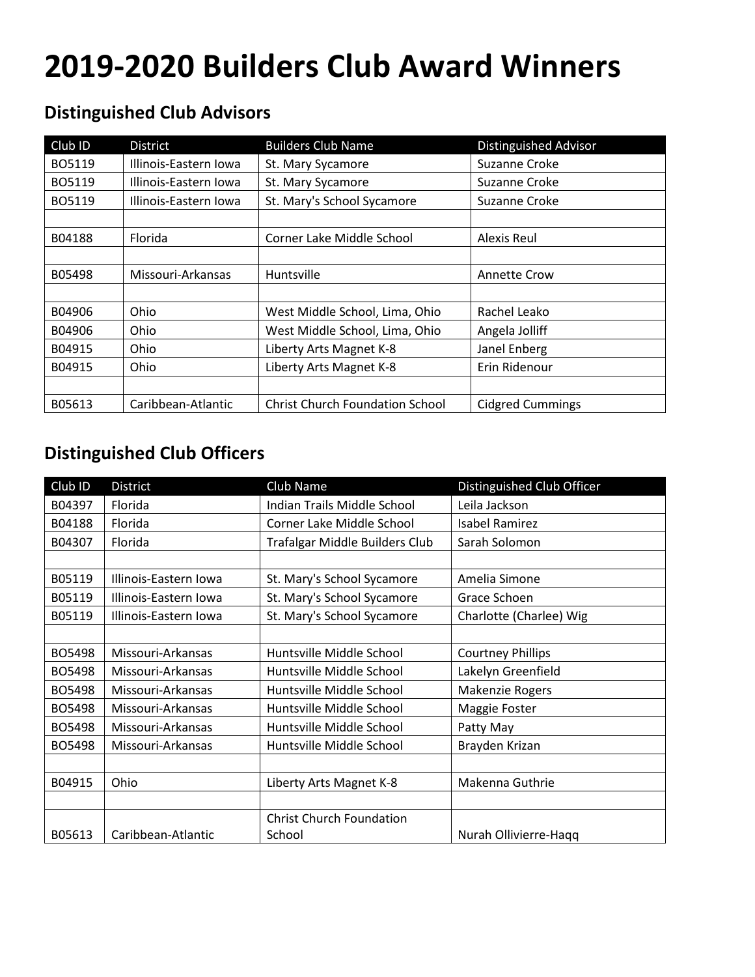## **2019-2020 Builders Club Award Winners**

## **Distinguished Club Advisors**

| Club ID | <b>District</b>       | <b>Builders Club Name</b>              | <b>Distinguished Advisor</b> |
|---------|-----------------------|----------------------------------------|------------------------------|
| BO5119  | Illinois-Eastern Iowa | St. Mary Sycamore                      | Suzanne Croke                |
| BO5119  | Illinois-Eastern Iowa | St. Mary Sycamore                      | Suzanne Croke                |
| BO5119  | Illinois-Eastern Iowa | St. Mary's School Sycamore             | Suzanne Croke                |
|         |                       |                                        |                              |
| B04188  | Florida               | Corner Lake Middle School              | Alexis Reul                  |
|         |                       |                                        |                              |
| B05498  | Missouri-Arkansas     | Huntsville                             | <b>Annette Crow</b>          |
|         |                       |                                        |                              |
| B04906  | Ohio                  | West Middle School, Lima, Ohio         | Rachel Leako                 |
| B04906  | Ohio                  | West Middle School, Lima, Ohio         | Angela Jolliff               |
| B04915  | <b>Ohio</b>           | Liberty Arts Magnet K-8                | Janel Enberg                 |
| B04915  | <b>Ohio</b>           | Liberty Arts Magnet K-8                | Erin Ridenour                |
|         |                       |                                        |                              |
| B05613  | Caribbean-Atlantic    | <b>Christ Church Foundation School</b> | <b>Cidgred Cummings</b>      |

## **Distinguished Club Officers**

| Club ID | <b>District</b>       | Club Name                       | Distinguished Club Officer |  |
|---------|-----------------------|---------------------------------|----------------------------|--|
| B04397  | Florida               | Indian Trails Middle School     | Leila Jackson              |  |
| B04188  | Florida               | Corner Lake Middle School       | <b>Isabel Ramirez</b>      |  |
| B04307  | Florida               | Trafalgar Middle Builders Club  | Sarah Solomon              |  |
|         |                       |                                 |                            |  |
| B05119  | Illinois-Eastern Iowa | St. Mary's School Sycamore      | Amelia Simone              |  |
| B05119  | Illinois-Eastern Iowa | St. Mary's School Sycamore      | Grace Schoen               |  |
| B05119  | Illinois-Eastern Iowa | St. Mary's School Sycamore      | Charlotte (Charlee) Wig    |  |
|         |                       |                                 |                            |  |
| BO5498  | Missouri-Arkansas     | Huntsville Middle School        | <b>Courtney Phillips</b>   |  |
| BO5498  | Missouri-Arkansas     | Huntsville Middle School        | Lakelyn Greenfield         |  |
| BO5498  | Missouri-Arkansas     | Huntsville Middle School        | <b>Makenzie Rogers</b>     |  |
| BO5498  | Missouri-Arkansas     | Huntsville Middle School        | Maggie Foster              |  |
| BO5498  | Missouri-Arkansas     | Huntsville Middle School        | Patty May                  |  |
| BO5498  | Missouri-Arkansas     | Huntsville Middle School        | Brayden Krizan             |  |
|         |                       |                                 |                            |  |
| B04915  | Ohio                  | Liberty Arts Magnet K-8         | Makenna Guthrie            |  |
|         |                       |                                 |                            |  |
|         |                       | <b>Christ Church Foundation</b> |                            |  |
| B05613  | Caribbean-Atlantic    | School                          | Nurah Ollivierre-Haqq      |  |